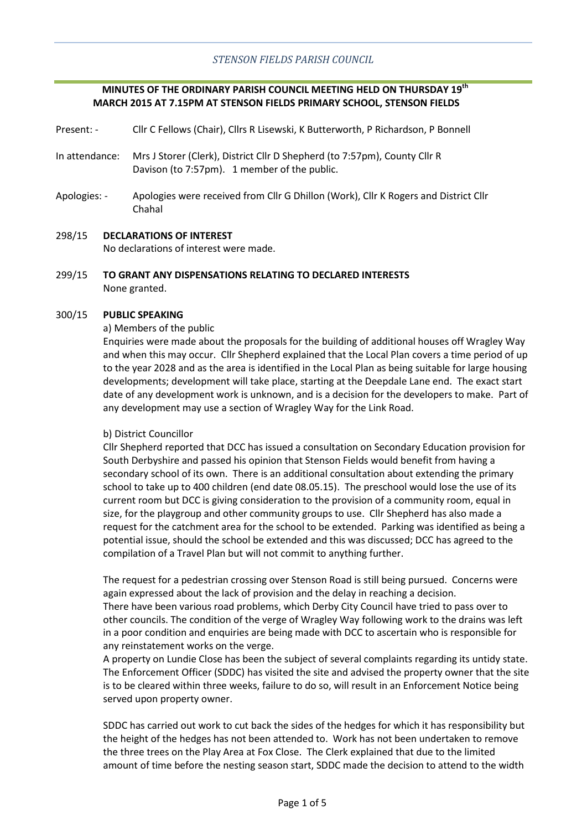# **MINUTES OF THE ORDINARY PARISH COUNCIL MEETING HELD ON THURSDAY 19th MARCH 2015 AT 7.15PM AT STENSON FIELDS PRIMARY SCHOOL, STENSON FIELDS**

Present: - Cllr C Fellows (Chair), Cllrs R Lisewski, K Butterworth, P Richardson, P Bonnell

- In attendance: Mrs J Storer (Clerk), District Cllr D Shepherd (to 7:57pm), County Cllr R Davison (to 7:57pm). 1 member of the public.
- Apologies: Apologies were received from Cllr G Dhillon (Work), Cllr K Rogers and District Cllr Chahal
- 298/15 **DECLARATIONS OF INTEREST** No declarations of interest were made.
- 299/15 **TO GRANT ANY DISPENSATIONS RELATING TO DECLARED INTERESTS** None granted.

#### 300/15 **PUBLIC SPEAKING**

### a) Members of the public

Enquiries were made about the proposals for the building of additional houses off Wragley Way and when this may occur. Cllr Shepherd explained that the Local Plan covers a time period of up to the year 2028 and as the area is identified in the Local Plan as being suitable for large housing developments; development will take place, starting at the Deepdale Lane end. The exact start date of any development work is unknown, and is a decision for the developers to make. Part of any development may use a section of Wragley Way for the Link Road.

### b) District Councillor

Cllr Shepherd reported that DCC has issued a consultation on Secondary Education provision for South Derbyshire and passed his opinion that Stenson Fields would benefit from having a secondary school of its own. There is an additional consultation about extending the primary school to take up to 400 children (end date 08.05.15). The preschool would lose the use of its current room but DCC is giving consideration to the provision of a community room, equal in size, for the playgroup and other community groups to use. Cllr Shepherd has also made a request for the catchment area for the school to be extended. Parking was identified as being a potential issue, should the school be extended and this was discussed; DCC has agreed to the compilation of a Travel Plan but will not commit to anything further.

The request for a pedestrian crossing over Stenson Road is still being pursued. Concerns were again expressed about the lack of provision and the delay in reaching a decision. There have been various road problems, which Derby City Council have tried to pass over to other councils. The condition of the verge of Wragley Way following work to the drains was left in a poor condition and enquiries are being made with DCC to ascertain who is responsible for any reinstatement works on the verge.

A property on Lundie Close has been the subject of several complaints regarding its untidy state. The Enforcement Officer (SDDC) has visited the site and advised the property owner that the site is to be cleared within three weeks, failure to do so, will result in an Enforcement Notice being served upon property owner.

SDDC has carried out work to cut back the sides of the hedges for which it has responsibility but the height of the hedges has not been attended to. Work has not been undertaken to remove the three trees on the Play Area at Fox Close. The Clerk explained that due to the limited amount of time before the nesting season start, SDDC made the decision to attend to the width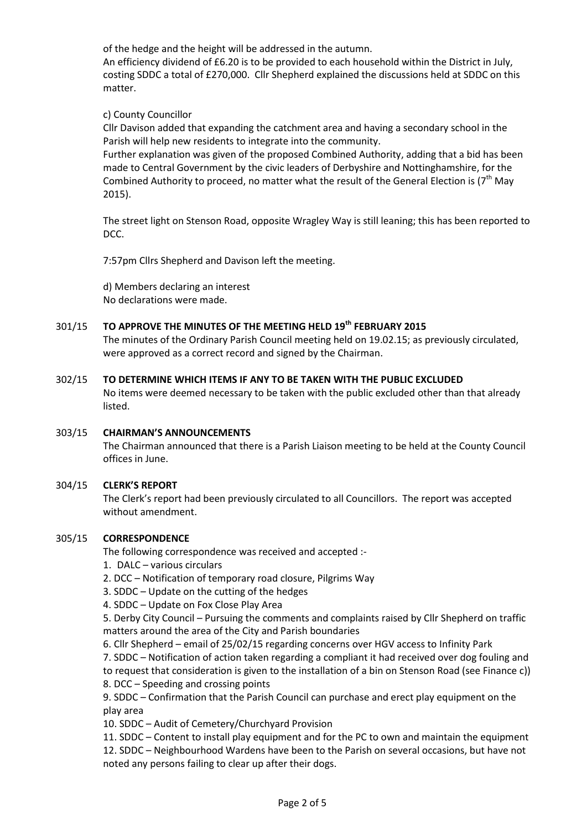of the hedge and the height will be addressed in the autumn.

An efficiency dividend of £6.20 is to be provided to each household within the District in July, costing SDDC a total of £270,000. Cllr Shepherd explained the discussions held at SDDC on this matter.

c) County Councillor

Cllr Davison added that expanding the catchment area and having a secondary school in the Parish will help new residents to integrate into the community.

Further explanation was given of the proposed Combined Authority, adding that a bid has been made to Central Government by the civic leaders of Derbyshire and Nottinghamshire, for the Combined Authority to proceed, no matter what the result of the General Election is  $7<sup>th</sup>$  May 2015).

The street light on Stenson Road, opposite Wragley Way is still leaning; this has been reported to DCC.

7:57pm Cllrs Shepherd and Davison left the meeting.

d) Members declaring an interest No declarations were made.

#### 301/15 **TO APPROVE THE MINUTES OF THE MEETING HELD 19th FEBRUARY 2015**

The minutes of the Ordinary Parish Council meeting held on 19.02.15; as previously circulated, were approved as a correct record and signed by the Chairman.

#### 302/15 **TO DETERMINE WHICH ITEMS IF ANY TO BE TAKEN WITH THE PUBLIC EXCLUDED**

No items were deemed necessary to be taken with the public excluded other than that already listed.

#### 303/15 **CHAIRMAN'S ANNOUNCEMENTS**

The Chairman announced that there is a Parish Liaison meeting to be held at the County Council offices in June.

#### 304/15 **CLERK'S REPORT**

The Clerk's report had been previously circulated to all Councillors. The report was accepted without amendment.

#### 305/15 **CORRESPONDENCE**

The following correspondence was received and accepted :-

- 1. DALC various circulars
- 2. DCC Notification of temporary road closure, Pilgrims Way

3. SDDC – Update on the cutting of the hedges

4. SDDC – Update on Fox Close Play Area

5. Derby City Council – Pursuing the comments and complaints raised by Cllr Shepherd on traffic matters around the area of the City and Parish boundaries

- 6. Cllr Shepherd email of 25/02/15 regarding concerns over HGV access to Infinity Park
- 7. SDDC Notification of action taken regarding a compliant it had received over dog fouling and

to request that consideration is given to the installation of a bin on Stenson Road (see Finance c)) 8. DCC – Speeding and crossing points

9. SDDC – Confirmation that the Parish Council can purchase and erect play equipment on the play area

10. SDDC – Audit of Cemetery/Churchyard Provision

11. SDDC – Content to install play equipment and for the PC to own and maintain the equipment 12. SDDC – Neighbourhood Wardens have been to the Parish on several occasions, but have not noted any persons failing to clear up after their dogs.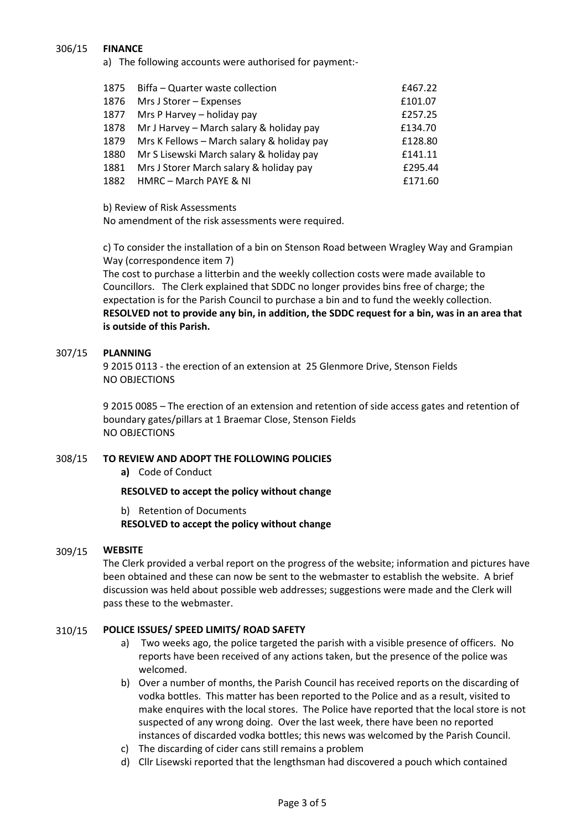#### 306/15 **FINANCE**

a) The following accounts were authorised for payment:-

| 1875 | Biffa - Quarter waste collection           | £467.22 |
|------|--------------------------------------------|---------|
| 1876 | Mrs J Storer - Expenses                    | £101.07 |
| 1877 | Mrs P Harvey - holiday pay                 | £257.25 |
| 1878 | Mr J Harvey - March salary & holiday pay   | £134.70 |
| 1879 | Mrs K Fellows - March salary & holiday pay | £128.80 |
| 1880 | Mr S Lisewski March salary & holiday pay   | £141.11 |
| 1881 | Mrs J Storer March salary & holiday pay    | £295.44 |
| 1882 | HMRC - March PAYE & NI                     | £171.60 |

b) Review of Risk Assessments

No amendment of the risk assessments were required.

c) To consider the installation of a bin on Stenson Road between Wragley Way and Grampian Way (correspondence item 7)

The cost to purchase a litterbin and the weekly collection costs were made available to Councillors. The Clerk explained that SDDC no longer provides bins free of charge; the expectation is for the Parish Council to purchase a bin and to fund the weekly collection. **RESOLVED not to provide any bin, in addition, the SDDC request for a bin, was in an area that is outside of this Parish.**

#### 307/15 **PLANNING**

9 2015 0113 - the erection of an extension at 25 Glenmore Drive, Stenson Fields NO OBJECTIONS

9 2015 0085 – The erection of an extension and retention of side access gates and retention of boundary gates/pillars at 1 Braemar Close, Stenson Fields NO OBJECTIONS

#### 308/15 **TO REVIEW AND ADOPT THE FOLLOWING POLICIES**

**a)** Code of Conduct

**RESOLVED to accept the policy without change**

b) Retention of Documents **RESOLVED to accept the policy without change**

#### 309/15 **WEBSITE**

The Clerk provided a verbal report on the progress of the website; information and pictures have been obtained and these can now be sent to the webmaster to establish the website. A brief discussion was held about possible web addresses; suggestions were made and the Clerk will pass these to the webmaster.

#### 310/15 **POLICE ISSUES/ SPEED LIMITS/ ROAD SAFETY**

- a) Two weeks ago, the police targeted the parish with a visible presence of officers. No reports have been received of any actions taken, but the presence of the police was welcomed.
- b) Over a number of months, the Parish Council has received reports on the discarding of vodka bottles. This matter has been reported to the Police and as a result, visited to make enquires with the local stores. The Police have reported that the local store is not suspected of any wrong doing. Over the last week, there have been no reported instances of discarded vodka bottles; this news was welcomed by the Parish Council.
- c) The discarding of cider cans still remains a problem
- d) Cllr Lisewski reported that the lengthsman had discovered a pouch which contained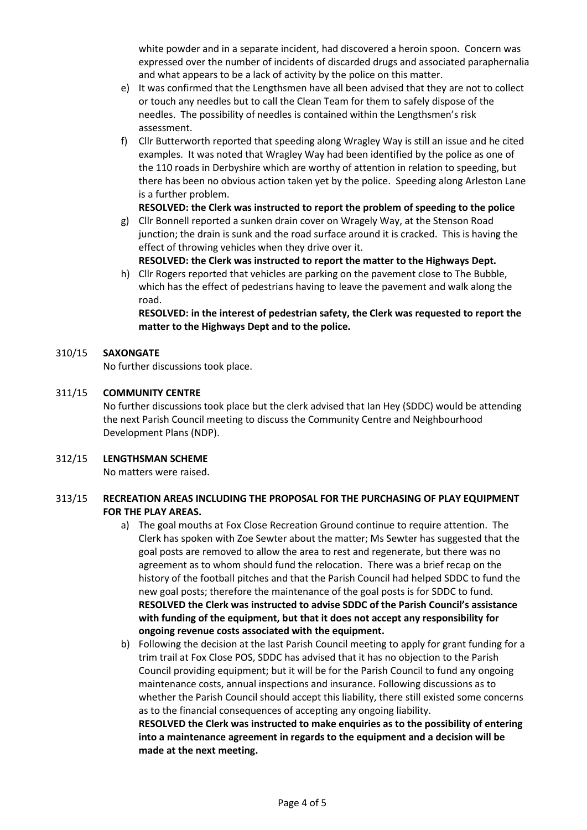white powder and in a separate incident, had discovered a heroin spoon. Concern was expressed over the number of incidents of discarded drugs and associated paraphernalia and what appears to be a lack of activity by the police on this matter.

- e) It was confirmed that the Lengthsmen have all been advised that they are not to collect or touch any needles but to call the Clean Team for them to safely dispose of the needles. The possibility of needles is contained within the Lengthsmen's risk assessment.
- f) Cllr Butterworth reported that speeding along Wragley Way is still an issue and he cited examples. It was noted that Wragley Way had been identified by the police as one of the 110 roads in Derbyshire which are worthy of attention in relation to speeding, but there has been no obvious action taken yet by the police. Speeding along Arleston Lane is a further problem.

# **RESOLVED: the Clerk was instructed to report the problem of speeding to the police**

- g) Cllr Bonnell reported a sunken drain cover on Wragely Way, at the Stenson Road junction; the drain is sunk and the road surface around it is cracked. This is having the effect of throwing vehicles when they drive over it.
	- **RESOLVED: the Clerk was instructed to report the matter to the Highways Dept.**
- h) Cllr Rogers reported that vehicles are parking on the pavement close to The Bubble, which has the effect of pedestrians having to leave the pavement and walk along the road.

**RESOLVED: in the interest of pedestrian safety, the Clerk was requested to report the matter to the Highways Dept and to the police.**

#### 310/15 **SAXONGATE**

No further discussions took place.

**made at the next meeting.**

#### 311/15 **COMMUNITY CENTRE**

No further discussions took place but the clerk advised that Ian Hey (SDDC) would be attending the next Parish Council meeting to discuss the Community Centre and Neighbourhood Development Plans (NDP).

#### 312/15 **LENGTHSMAN SCHEME**

No matters were raised.

### 313/15 **RECREATION AREAS INCLUDING THE PROPOSAL FOR THE PURCHASING OF PLAY EQUIPMENT FOR THE PLAY AREAS.**

- a) The goal mouths at Fox Close Recreation Ground continue to require attention. The Clerk has spoken with Zoe Sewter about the matter; Ms Sewter has suggested that the goal posts are removed to allow the area to rest and regenerate, but there was no agreement as to whom should fund the relocation. There was a brief recap on the history of the football pitches and that the Parish Council had helped SDDC to fund the new goal posts; therefore the maintenance of the goal posts is for SDDC to fund. **RESOLVED the Clerk was instructed to advise SDDC of the Parish Council's assistance with funding of the equipment, but that it does not accept any responsibility for ongoing revenue costs associated with the equipment.**
- b) Following the decision at the last Parish Council meeting to apply for grant funding for a trim trail at Fox Close POS, SDDC has advised that it has no objection to the Parish Council providing equipment; but it will be for the Parish Council to fund any ongoing maintenance costs, annual inspections and insurance. Following discussions as to whether the Parish Council should accept this liability, there still existed some concerns as to the financial consequences of accepting any ongoing liability. **RESOLVED the Clerk was instructed to make enquiries as to the possibility of entering into a maintenance agreement in regards to the equipment and a decision will be**